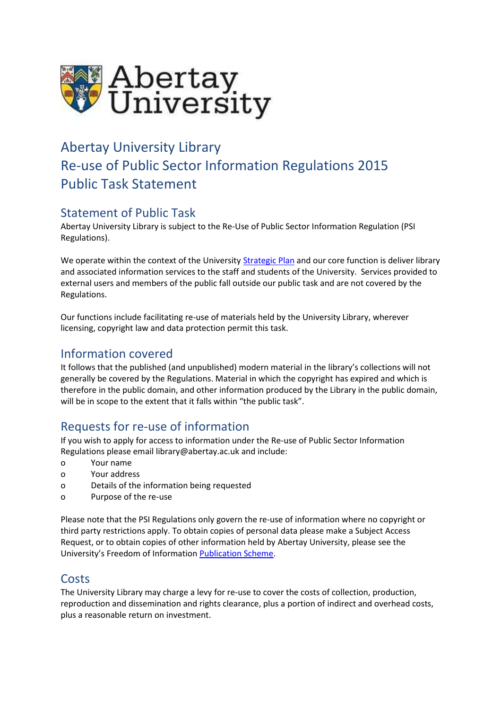

# Abertay University Library Re-use of Public Sector Information Regulations 2015 Public Task Statement

## Statement of Public Task

Abertay University Library is subject to the Re-Use of Public Sector Information Regulation (PSI Regulations).

We operate within the context of the University Strategic Plan and our core function is deliver library and associated information services to the staff and students of the University. Services provided to external users and members of the public fall outside our public task and are not covered by the Regulations.

Our functions include facilitating re-use of materials held by the University Library, wherever licensing, copyright law and data protection permit this task.

#### Information covered

It follows that the published (and unpublished) modern material in the library's collections will not generally be covered by the Regulations. Material in which the copyright has expired and which is therefore in the public domain, and other information produced by the Library in the public domain, will be in scope to the extent that it falls within "the public task".

## Requests for re-use of information

If you wish to apply for access to information under the Re-use of Public Sector Information Regulations please email library@abertay.ac.uk and include:

- o Your name
- o Your address
- o Details of the information being requested
- o Purpose of the re-use

Please note that the PSI Regulations only govern the re-use of information where no copyright or third party restrictions apply. To obtain copies of personal data please make a Subject Access Request, or to obtain copies of other information held by Abertay University, please see the University's Freedom of Information Publication Scheme.

#### Costs

The University Library may charge a levy for re-use to cover the costs of collection, production, reproduction and dissemination and rights clearance, plus a portion of indirect and overhead costs, plus a reasonable return on investment.